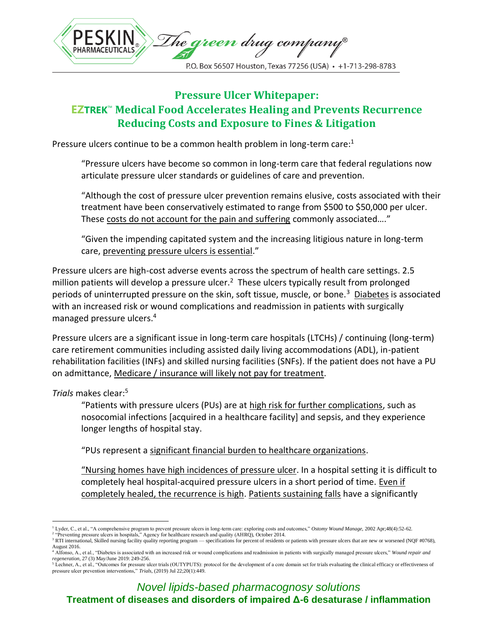

# **Pressure Ulcer Whitepaper: EZTREK**™ **Medical Food Accelerates Healing and Prevents Recurrence Reducing Costs and Exposure to Fines & Litigation**

Pressure ulcers continue to be a common health problem in long-term care:<sup>1</sup>

"Pressure ulcers have become so common in long-term care that federal regulations now articulate pressure ulcer standards or guidelines of care and prevention.

"Although the cost of pressure ulcer prevention remains elusive, costs associated with their treatment have been conservatively estimated to range from \$500 to \$50,000 per ulcer. These costs do not account for the pain and suffering commonly associated…."

"Given the impending capitated system and the increasing litigious nature in long-term care, preventing pressure ulcers is essential."

Pressure ulcers are high-cost adverse events across the spectrum of health care settings. 2.5 million patients will develop a pressure ulcer.<sup>2</sup> These ulcers typically result from prolonged periods of uninterrupted pressure on the skin, soft tissue, muscle, or bone.<sup>3</sup> Diabetes is associated with an increased risk or wound complications and readmission in patients with surgically managed pressure ulcers.<sup>4</sup>

Pressure ulcers are a significant issue in long-term care hospitals (LTCHs) / continuing (long-term) care retirement communities including assisted daily living accommodations (ADL), in-patient rehabilitation facilities (INFs) and skilled nursing facilities (SNFs). If the patient does not have a PU on admittance, Medicare / insurance will likely not pay for treatment.

## *Trials* makes clear:<sup>5</sup>

"Patients with pressure ulcers (PUs) are at high risk for further complications, such as nosocomial infections [acquired in a healthcare facility] and sepsis, and they experience longer lengths of hospital stay.

"PUs represent a significant financial burden to healthcare organizations.

"Nursing homes have high incidences of pressure ulcer. In a hospital setting it is difficult to completely heal hospital-acquired pressure ulcers in a short period of time. Even if completely healed, the recurrence is high. Patients sustaining falls have a significantly

<sup>1</sup> Lyder, C., et al., "A comprehensive program to prevent pressure ulcers in long-term care: exploring costs and outcomes," *Ostomy Wound Manage*, 2002 Apr;48(4):52-62. <sup>2</sup> "Preventing pressure ulcers in hospitals," Agency for healthcare research and quality (AHRQ), October 2014.

<sup>&</sup>lt;sup>3</sup> RTI international, Skilled nursing facility quality reporting program — specifications for percent of residents or patients with pressure ulcers that are new or worsened (NQF #0768), August 2016.

<sup>4</sup> Alfonso, A., et al., "Diabetes is associated with an increased risk or wound complications and readmission in patients with surgically managed pressure ulcers," *Wound repair and regeneration*, 27 (3) May/June 2019: 249-256.

 $\frac{5}{5}$  Lechner, A., et al., "Outcomes for pressure ulcer trials (OUTYPUTS): protocol for the development of a core domain set for trials evaluating the clinical efficacy or effectiveness of pressure ulcer prevention interventions," *Trials*, (2019) Jul 22;20(1):449.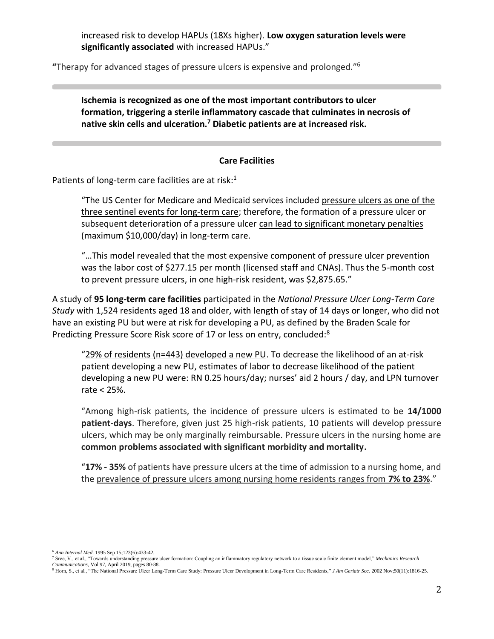increased risk to develop HAPUs (18Xs higher). **Low oxygen saturation levels were significantly associated** with increased HAPUs."

**"**Therapy for advanced stages of pressure ulcers is expensive and prolonged."<sup>6</sup>

**Ischemia is recognized as one of the most important contributors to ulcer formation, triggering a sterile inflammatory cascade that culminates in necrosis of native skin cells and ulceration.<sup>7</sup> Diabetic patients are at increased risk.**

### **Care Facilities**

Patients of long-term care facilities are at risk:<sup>1</sup>

"The US Center for Medicare and Medicaid services included pressure ulcers as one of the three sentinel events for long-term care; therefore, the formation of a pressure ulcer or subsequent deterioration of a pressure ulcer can lead to significant monetary penalties (maximum \$10,000/day) in long-term care.

"…This model revealed that the most expensive component of pressure ulcer prevention was the labor cost of \$277.15 per month (licensed staff and CNAs). Thus the 5-month cost to prevent pressure ulcers, in one high-risk resident, was \$2,875.65."

A study of **95 long-term care facilities** participated in the *National Pressure Ulcer Long-Term Care Study* with 1,524 residents aged 18 and older, with length of stay of 14 days or longer, who did not have an existing PU but were at risk for developing a PU, as defined by the Braden Scale for Predicting Pressure Score Risk score of 17 or less on entry, concluded:<sup>8</sup>

"29% of residents (n=443) developed a new PU. To decrease the likelihood of an at-risk patient developing a new PU, estimates of labor to decrease likelihood of the patient developing a new PU were: RN 0.25 hours/day; nurses' aid 2 hours / day, and LPN turnover rate < 25%.

"Among high-risk patients, the incidence of pressure ulcers is estimated to be **14/1000 patient-days**. Therefore, given just 25 high-risk patients, 10 patients will develop pressure ulcers, which may be only marginally reimbursable. Pressure ulcers in the nursing home are **common problems associated with significant morbidity and mortality.**

"**17% - 35%** of patients have pressure ulcers at the time of admission to a nursing home, and the prevalence of pressure ulcers among nursing home residents ranges from **7% to 23%**."

<sup>6</sup> *Ann Internal Med*. 1995 Sep 15;123(6):433-42.

<sup>7</sup> Sree, V., et al., "Towards understanding pressure ulcer formation: Coupling an inflammatory regulatory network to a tissue scale finite element model," *Mechanics Research Communications,* Vol 97, April 2019, pages 80-88.

<sup>8</sup> Horn, S., et al., "The National Pressure Ulcer Long-Term Care Study: Pressure Ulcer Development in Long-Term Care Residents," *J Am Geriatr Soc.* 2002 Nov;50(11):1816-25.